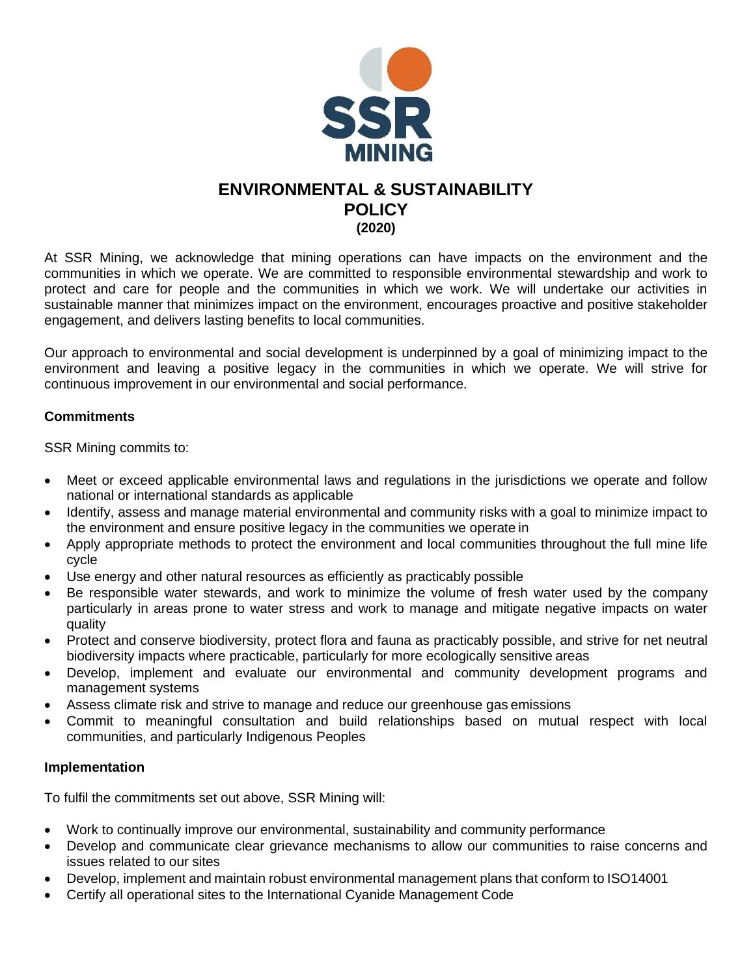

# **ENVIRONMENTAL & SUSTAINABILITY POLICY (2020)**

At SSR Mining, we acknowledge that mining operations can have impacts on the environment and the communities in which we operate. We are committed to responsible environmental stewardship and work to protect and care for people and the communities in which we work. We will undertake our activities in sustainable manner that minimizes impact on the environment, encourages proactive and positive stakeholder engagement, and delivers lasting benefits to local communities.

Our approach to environmental and social development is underpinned by a goal of minimizing impact to the environment and leaving a positive legacy in the communities in which we operate. We will strive for continuous improvement in our environmental and social performance.

## **Commitments**

SSR Mining commits to:

- Meet or exceed applicable environmental laws and regulations in the jurisdictions we operate and follow national or international standards as applicable
- Identify, assess and manage material environmental and community risks with a goal to minimize impact to the environment and ensure positive legacy in the communities we operate in
- Apply appropriate methods to protect the environment and local communities throughout the full mine life cycle
- Use energy and other natural resources as efficiently as practicably possible
- Be responsible water stewards, and work to minimize the volume of fresh water used by the company particularly in areas prone to water stress and work to manage and mitigate negative impacts on water quality
- Protect and conserve biodiversity, protect flora and fauna as practicably possible, and strive for net neutral biodiversity impacts where practicable, particularly for more ecologically sensitive areas
- Develop, implement and evaluate our environmental and community development programs and management systems
- Assess climate risk and strive to manage and reduce our greenhouse gas emissions
- Commit to meaningful consultation and build relationships based on mutual respect with local communities, and particularly Indigenous Peoples

## **Implementation**

To fulfil the commitments set out above, SSR Mining will:

- Work to continually improve our environmental, sustainability and community performance
- Develop and communicate clear grievance mechanisms to allow our communities to raise concerns and issues related to our sites
- Develop, implement and maintain robust environmental management plans that conform to ISO14001
- Certify all operational sites to the International Cyanide Management Code